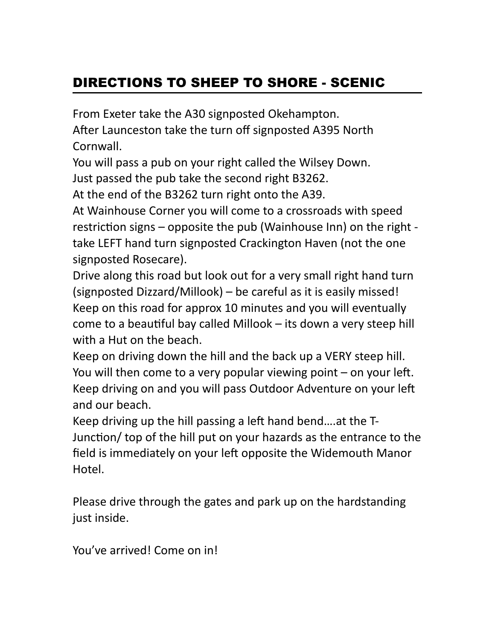## DIRECTIONS TO SHEEP TO SHORE - SCENIC

From Exeter take the A30 signposted Okehampton. After Launceston take the turn off signposted A395 North Cornwall.

You will pass a pub on your right called the Wilsey Down. Just passed the pub take the second right B3262.

At the end of the B3262 turn right onto the A39.

At Wainhouse Corner you will come to a crossroads with speed restriction signs – opposite the pub (Wainhouse Inn) on the right take LEFT hand turn signposted Crackington Haven (not the one signposted Rosecare).

Drive along this road but look out for a very small right hand turn (signposted Dizzard/Millook) – be careful as it is easily missed! Keep on this road for approx 10 minutes and you will eventually come to a beautiful bay called Millook  $-$  its down a very steep hill with a Hut on the beach.

Keep on driving down the hill and the back up a VERY steep hill. You will then come to a very popular viewing point  $-$  on your left. Keep driving on and you will pass Outdoor Adventure on your left and our beach.

Keep driving up the hill passing a left hand bend....at the T-Junction/ top of the hill put on your hazards as the entrance to the field is immediately on your left opposite the Widemouth Manor Hotel.

Please drive through the gates and park up on the hardstanding just inside.

You've arrived! Come on in!